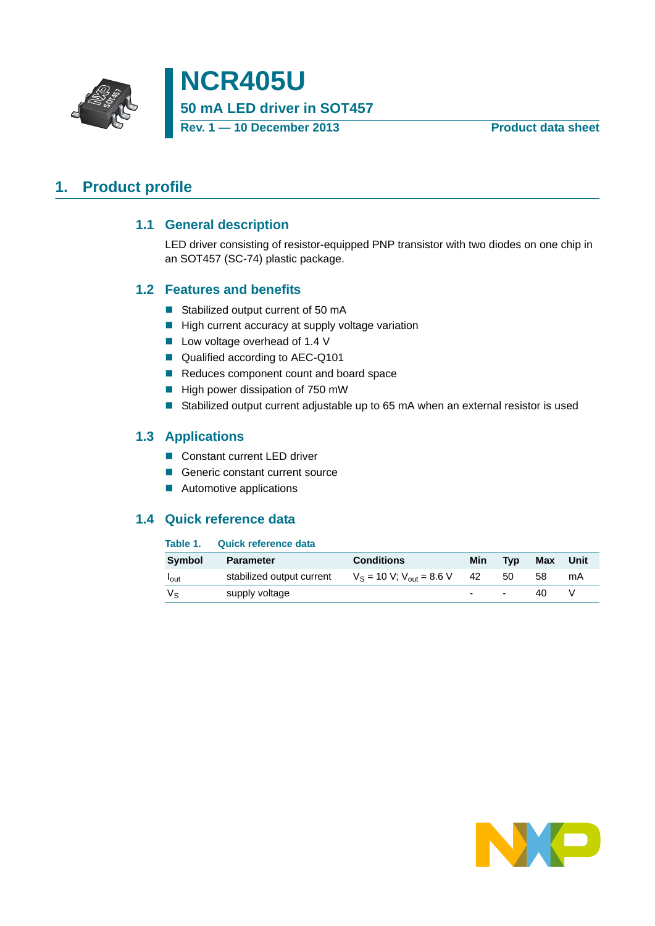

**NCR405U 50 mA LED driver in SOT457 Rev. 1 — 10 December 2013 Product data sheet**

## <span id="page-0-1"></span><span id="page-0-0"></span>**1. Product profile**

#### **1.1 General description**

LED driver consisting of resistor-equipped PNP transistor with two diodes on one chip in an SOT457 (SC-74) plastic package.

#### <span id="page-0-2"></span>**1.2 Features and benefits**

- Stabilized output current of 50 mA
- $\blacksquare$  High current accuracy at supply voltage variation
- Low voltage overhead of 1.4 V
- Qualified according to AEC-Q101
- Reduces component count and board space
- $\blacksquare$  High power dissipation of 750 mW
- Stabilized output current adjustable up to 65 mA when an external resistor is used

#### <span id="page-0-3"></span>**1.3 Applications**

- Constant current LED driver
- Generic constant current source
- **Automotive applications**

#### <span id="page-0-4"></span>**1.4 Quick reference data**

#### **Table 1. Quick reference data**

| <b>Symbol</b>    | <b>Parameter</b>          | <b>Conditions</b>                   | Min    | <b>Typ</b> | Max | Unit |
|------------------|---------------------------|-------------------------------------|--------|------------|-----|------|
| l <sub>out</sub> | stabilized output current | $V_S = 10 V$ ; $V_{out} = 8.6 V$ 42 |        | 50         | 58  | mA   |
| Vs               | supply voltage            |                                     | $\sim$ | $\sim$     | 40  |      |

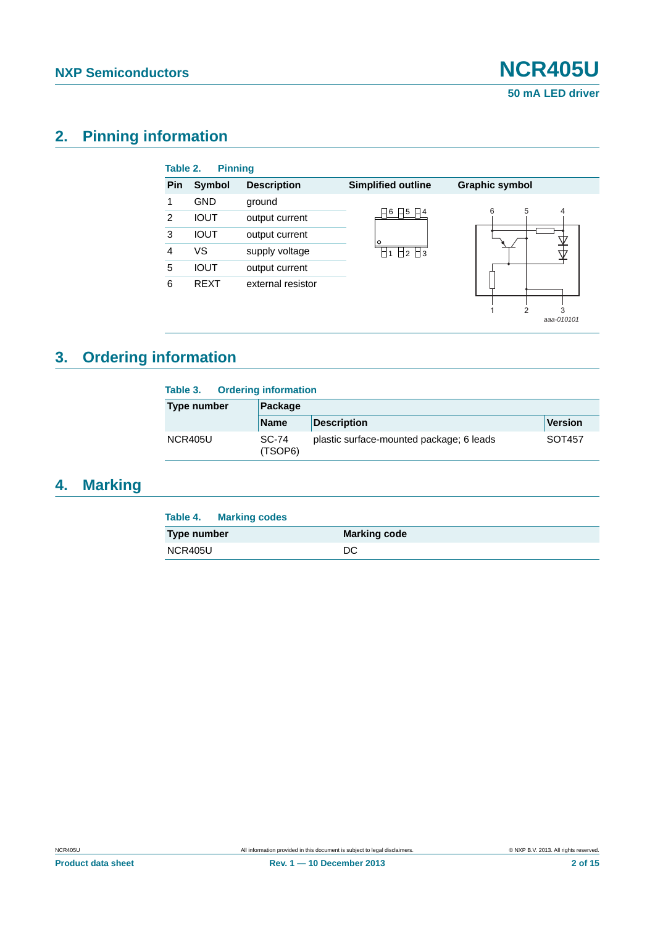*aaa-010101*

## <span id="page-1-0"></span>**2. Pinning information**

| Table 2. | <b>Pinning</b> |                    |                           |                       |
|----------|----------------|--------------------|---------------------------|-----------------------|
| Pin      | Symbol         | <b>Description</b> | <b>Simplified outline</b> | <b>Graphic symbol</b> |
|          | <b>GND</b>     | ground             |                           |                       |
| 2        | <b>IOUT</b>    | output current     | 15<br>6<br>∐4             | 6<br>5<br>4           |
| 3        | <b>IOUT</b>    | output current     | O                         |                       |
| 4        | vs             | supply voltage     | H2 H3                     |                       |
| 5        | <b>IOUT</b>    | output current     |                           |                       |
| 6        | <b>REXT</b>    | external resistor  |                           |                       |
|          |                |                    |                           | 3                     |

## <span id="page-1-1"></span>**3. Ordering information**

| <b>Ordering information</b><br>Table 3. |                  |                                          |         |  |  |
|-----------------------------------------|------------------|------------------------------------------|---------|--|--|
| Type number                             | Package          |                                          |         |  |  |
|                                         | <b>Name</b>      | <b>Description</b>                       | Version |  |  |
| NCR405U                                 | SC-74<br>(TSOP6) | plastic surface-mounted package; 6 leads | SOT457  |  |  |

## <span id="page-1-2"></span>**4. Marking**

| Table 4. Marking codes |                     |
|------------------------|---------------------|
| Type number            | <b>Marking code</b> |
| NCR405U                | DC                  |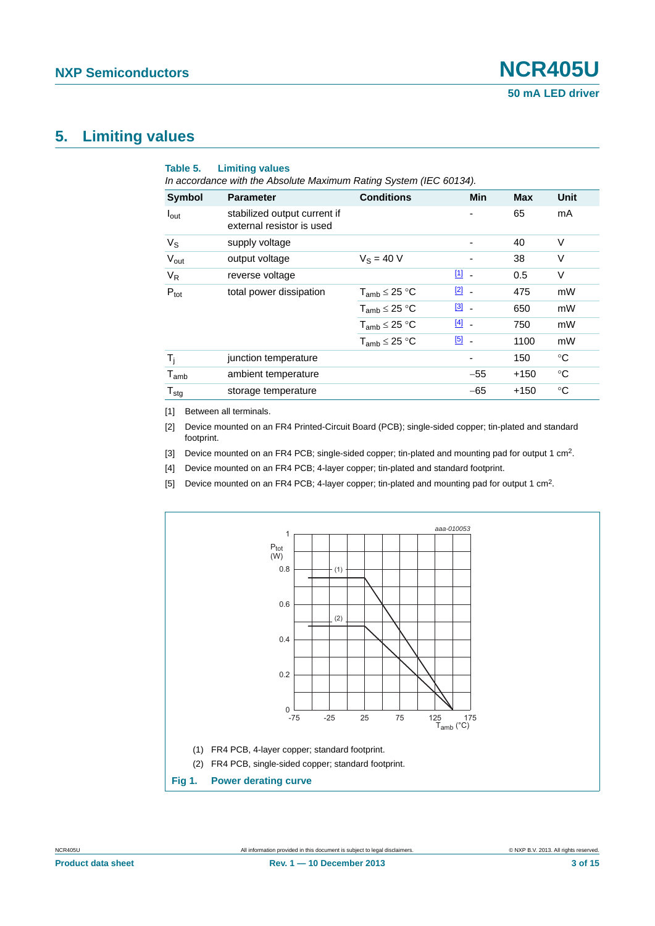#### <span id="page-2-5"></span>**5. Limiting values**

| Symbol                     | <b>Parameter</b>                                          | <b>Conditions</b>    | Min           | <b>Max</b> | Unit        |
|----------------------------|-----------------------------------------------------------|----------------------|---------------|------------|-------------|
| $I_{\text{out}}$           | stabilized output current if<br>external resistor is used |                      |               | 65         | mA          |
| $V_{\rm S}$                | supply voltage                                            |                      |               | 40         | V           |
| $V_{\text{out}}$           | output voltage                                            | $V_S = 40 V$         |               | 38         | V           |
| $V_R$                      | reverse voltage                                           |                      | $11 -$        | 0.5        | V           |
| $P_{\text{tot}}$           | total power dissipation                                   | $T_{amb} \leq 25 °C$ | $\boxed{2}$ - | 475        | mW          |
|                            |                                                           | $T_{amb} \leq 25 °C$ | $\boxed{3}$ - | 650        | mW          |
|                            |                                                           | $T_{amb} \leq 25 °C$ | $[4]$ -       | 750        | mW          |
|                            |                                                           | $T_{amb} \leq 25 °C$ | $\boxed{5}$ . | 1100       | mW          |
| $T_i$                      | junction temperature                                      |                      |               | 150        | °C          |
| $T_{amb}$                  | ambient temperature                                       |                      | $-55$         | $+150$     | $^{\circ}C$ |
| ${\mathsf T}_{\text{stg}}$ | storage temperature                                       |                      | $-65$         | $+150$     | $^{\circ}C$ |

<span id="page-2-0"></span>[1] Between all terminals.

<span id="page-2-1"></span>[2] Device mounted on an FR4 Printed-Circuit Board (PCB); single-sided copper; tin-plated and standard footprint.

<span id="page-2-2"></span>[3] Device mounted on an FR4 PCB; single-sided copper; tin-plated and mounting pad for output 1 cm<sup>2</sup>.

<span id="page-2-3"></span>[4] Device mounted on an FR4 PCB; 4-layer copper; tin-plated and standard footprint.

<span id="page-2-4"></span>[5] Device mounted on an FR4 PCB; 4-layer copper; tin-plated and mounting pad for output 1 cm2.

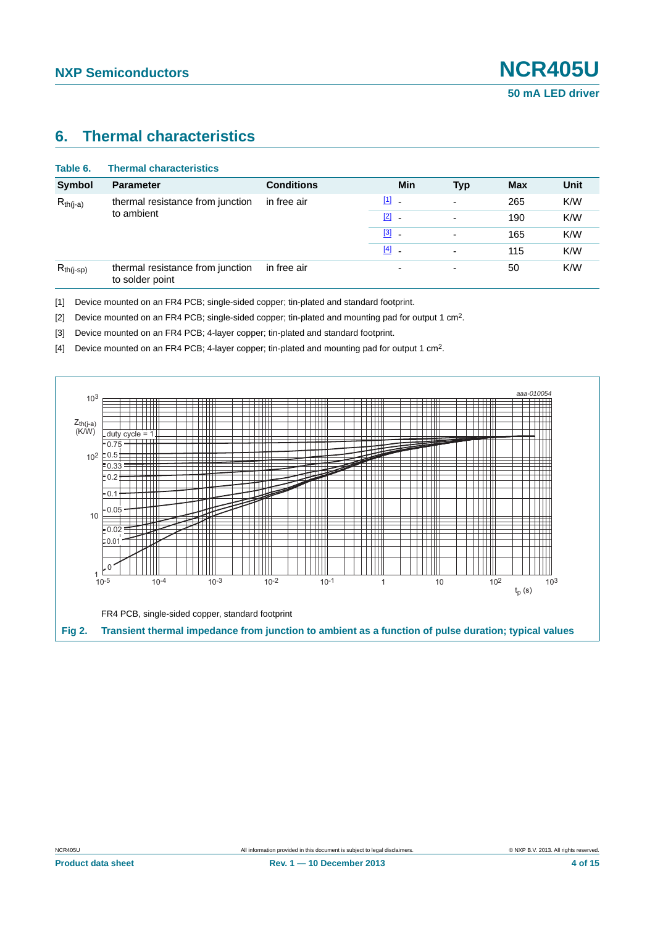#### <span id="page-3-4"></span>**6. Thermal characteristics**

| <b>Thermal characteristics</b>                      |                   |                          |                          |            |      |
|-----------------------------------------------------|-------------------|--------------------------|--------------------------|------------|------|
| <b>Parameter</b>                                    | <b>Conditions</b> | Min                      | <b>Typ</b>               | <b>Max</b> | Unit |
| thermal resistance from junction<br>to ambient      | in free air       | $[1]$ $-$                | $\overline{\phantom{0}}$ | 265        | K/W  |
|                                                     |                   | $\boxed{2}$ -            |                          | 190        | K/W  |
|                                                     |                   | $\boxed{3}$ -            | $\overline{\phantom{0}}$ | 165        | K/W  |
|                                                     |                   | $[4]$ -                  |                          | 115        | K/W  |
| thermal resistance from junction<br>to solder point | in free air       | $\overline{\phantom{0}}$ | ٠                        | 50         | K/W  |
|                                                     |                   |                          |                          |            |      |

<span id="page-3-0"></span>[1] Device mounted on an FR4 PCB; single-sided copper; tin-plated and standard footprint.

<span id="page-3-1"></span>[2] Device mounted on an FR4 PCB; single-sided copper; tin-plated and mounting pad for output 1 cm2.

<span id="page-3-2"></span>[3] Device mounted on an FR4 PCB; 4-layer copper; tin-plated and standard footprint.

<span id="page-3-3"></span>[4] Device mounted on an FR4 PCB; 4-layer copper; tin-plated and mounting pad for output 1 cm2.

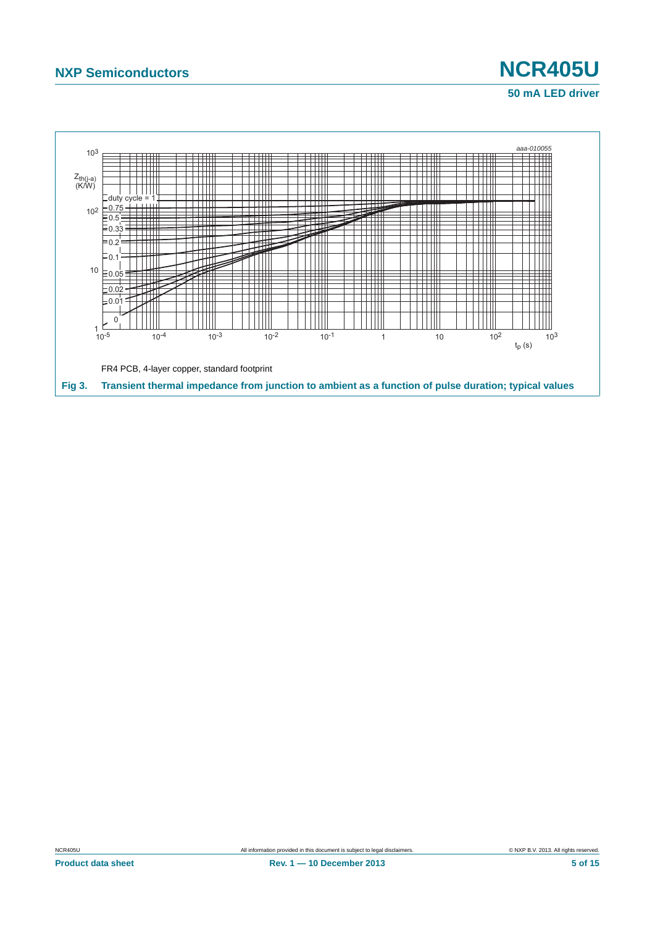

# **50 mA LED driver**

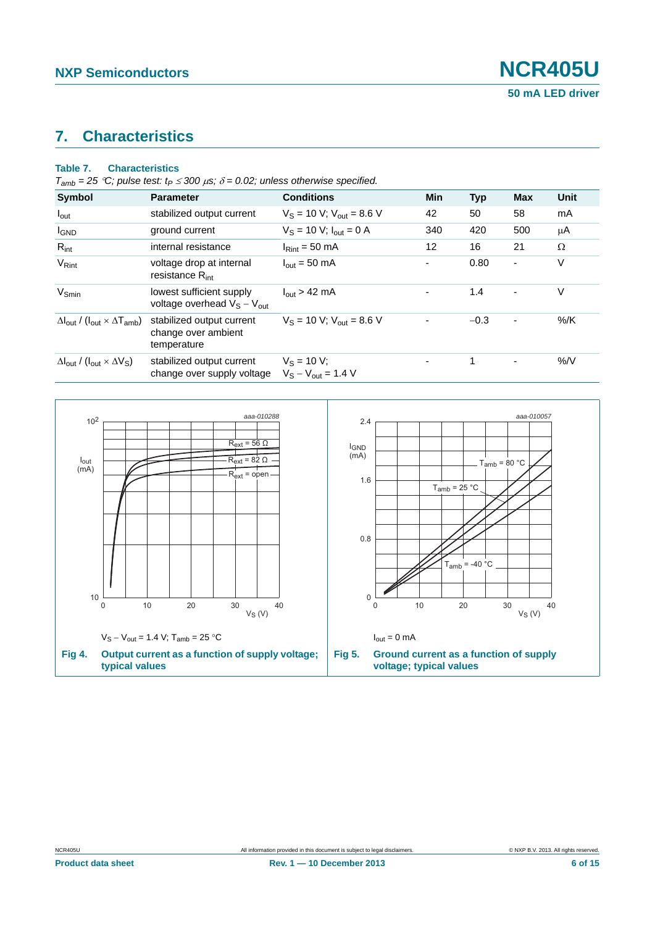## <span id="page-5-0"></span>**7. Characteristics**

#### **Table 7. Characteristics**

|  |  |  | $T_{amb}$ = 25 °C; pulse test: $t_P \le 300 \,\mu s$ ; $\delta$ = 0.02; unless otherwise specified. |
|--|--|--|-----------------------------------------------------------------------------------------------------|
|--|--|--|-----------------------------------------------------------------------------------------------------|

| <b>Symbol</b>                                                               | <b>Parameter</b>                                                | <b>Conditions</b>                         | <b>Min</b> | <b>Typ</b> | <b>Max</b>     | Unit |
|-----------------------------------------------------------------------------|-----------------------------------------------------------------|-------------------------------------------|------------|------------|----------------|------|
| $I_{\text{out}}$                                                            | stabilized output current                                       | $V_S = 10 V$ ; $V_{out} = 8.6 V$          | 42         | 50         | 58             | mA   |
| <b>I</b> GND                                                                | ground current                                                  | $V_S = 10 V$ ; $I_{out} = 0 A$            | 340        | 420        | 500            | μA   |
| $R_{int}$                                                                   | internal resistance                                             | $IRint = 50 mA$                           | 12         | 16         | 21             | Ω    |
| $V_{\text{Rint}}$                                                           | voltage drop at internal<br>resistance $R_{int}$                | $I_{\text{out}} = 50 \text{ mA}$          |            | 0.80       | ٠              | V    |
| $V_{Smin}$                                                                  | lowest sufficient supply<br>voltage overhead $V_S - V_{out}$    | $I_{\text{out}}$ > 42 mA                  |            | 1.4        | $\blacksquare$ | V    |
| $\Delta I_{\text{out}}$ / ( $I_{\text{out}} \times \Delta T_{\text{amb}}$ ) | stabilized output current<br>change over ambient<br>temperature | $V_S = 10$ V; $V_{out} = 8.6$ V           |            | $-0.3$     | $\blacksquare$ | %/K  |
| $\Delta I_{\text{out}}$ / ( $I_{\text{out}} \times \Delta V_{\text{S}}$ )   | stabilized output current<br>change over supply voltage         | $V_S = 10 V$ ;<br>$V_S - V_{out} = 1.4 V$ |            | 1          | $\blacksquare$ | %N   |

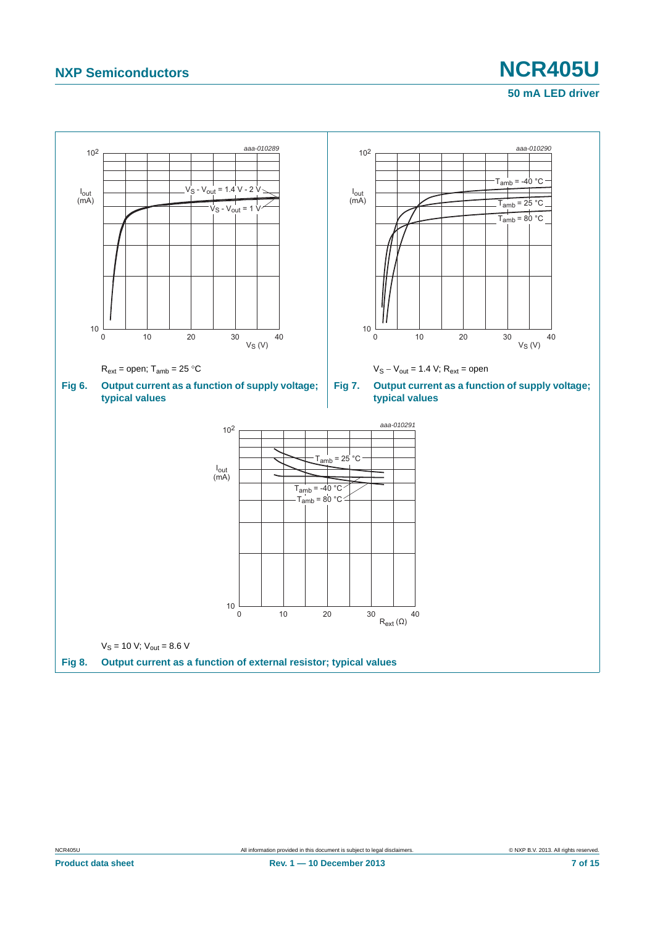## **NXP Semiconductors NCR405U**

## **50 mA LED driver**

<span id="page-6-0"></span>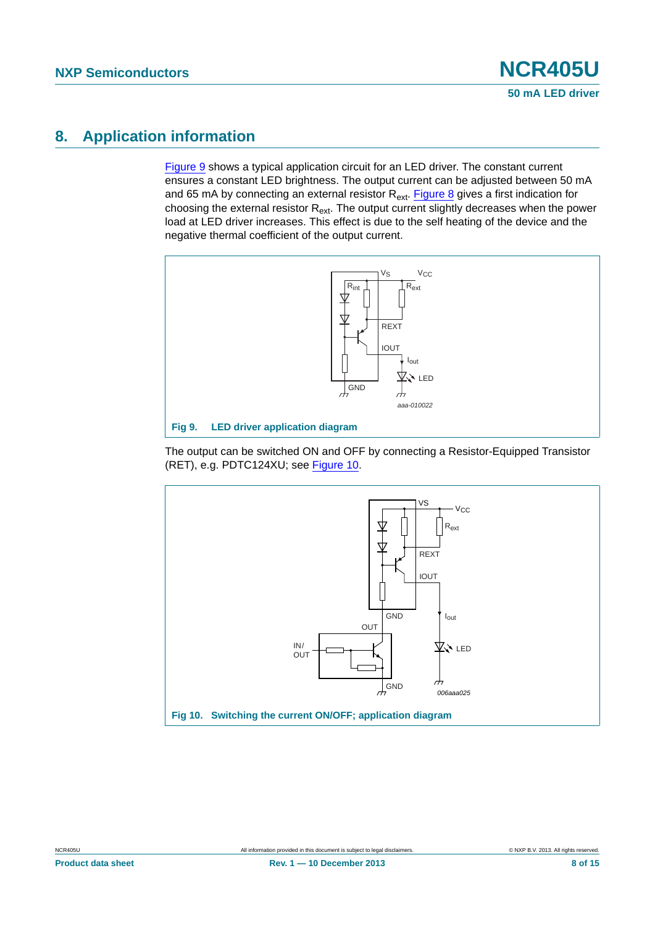## <span id="page-7-2"></span>**8. Application information**

[Figure 9](#page-7-0) shows a typical application circuit for an LED driver. The constant current ensures a constant LED brightness. The output current can be adjusted between 50 mA and 65 mA by connecting an external resistor  $R_{ext}$ . [Figure 8](#page-6-0) gives a first indication for choosing the external resistor  $R_{ext}$ . The output current slightly decreases when the power load at LED driver increases. This effect is due to the self heating of the device and the negative thermal coefficient of the output current.



<span id="page-7-0"></span>The output can be switched ON and OFF by connecting a Resistor-Equipped Transistor (RET), e.g. PDTC124XU; see [Figure 10](#page-7-1).

<span id="page-7-1"></span>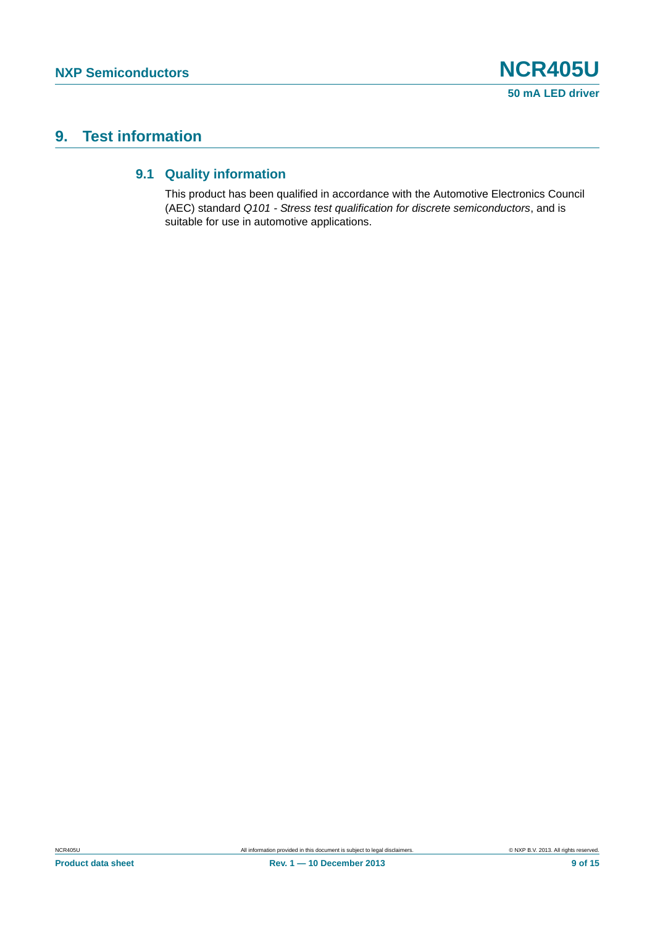## <span id="page-8-1"></span><span id="page-8-0"></span>**9. Test information**

#### **9.1 Quality information**

This product has been qualified in accordance with the Automotive Electronics Council (AEC) standard *Q101 - Stress test qualification for discrete semiconductors*, and is suitable for use in automotive applications.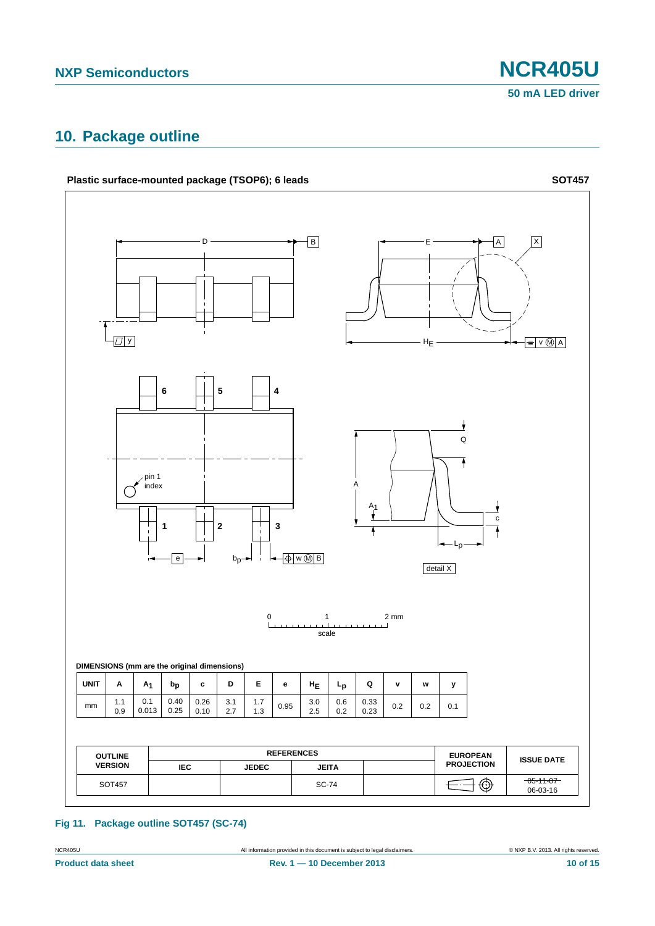## <span id="page-9-0"></span>**10. Package outline**



#### **Fig 11. Package outline SOT457 (SC-74)**

| <b>NCR405U</b> | All information provided in this document is subject to legal disclaimers. | © NXP B.V. 2013. All rights reserved. |
|----------------|----------------------------------------------------------------------------|---------------------------------------|
|                |                                                                            |                                       |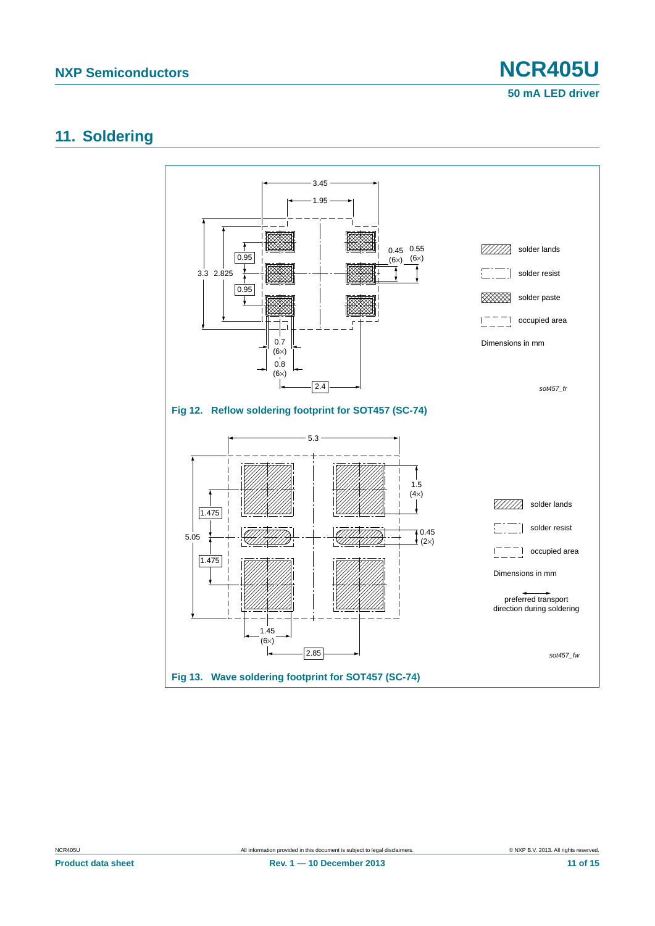**50 mA LED driver**

#### <span id="page-10-0"></span>**11. Soldering**



**Product data sheet Rev. 1 — 10 December 2013** 11 of 15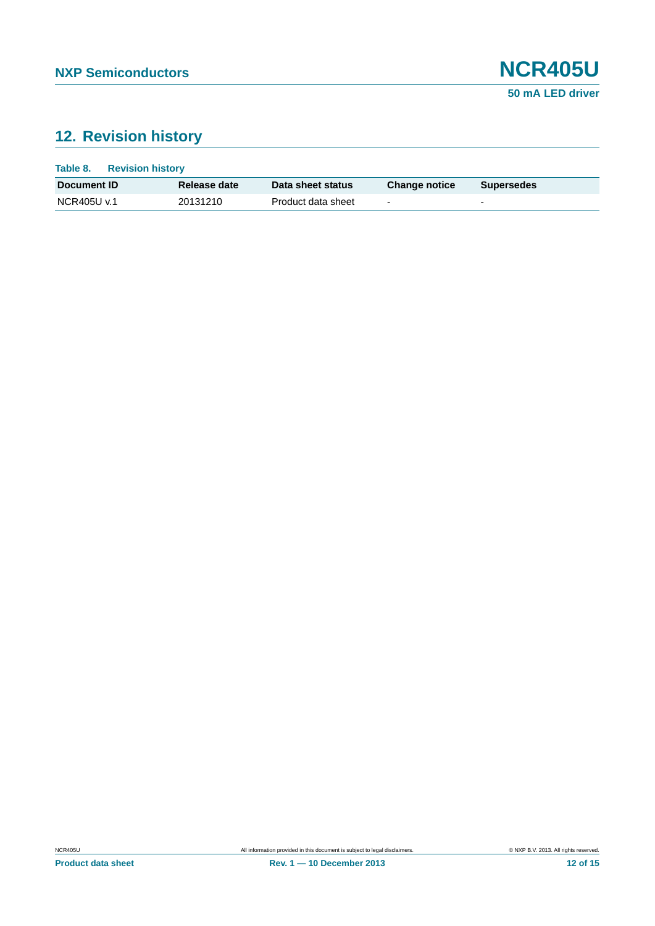## <span id="page-11-0"></span>**12. Revision history**

| Table 8.           | <b>Revision history</b> |                    |                          |                          |  |
|--------------------|-------------------------|--------------------|--------------------------|--------------------------|--|
| Document <b>ID</b> | Release date            | Data sheet status  | <b>Change notice</b>     | <b>Supersedes</b>        |  |
| NCR405U v.1        | 20131210                | Product data sheet | $\overline{\phantom{0}}$ | $\overline{\phantom{0}}$ |  |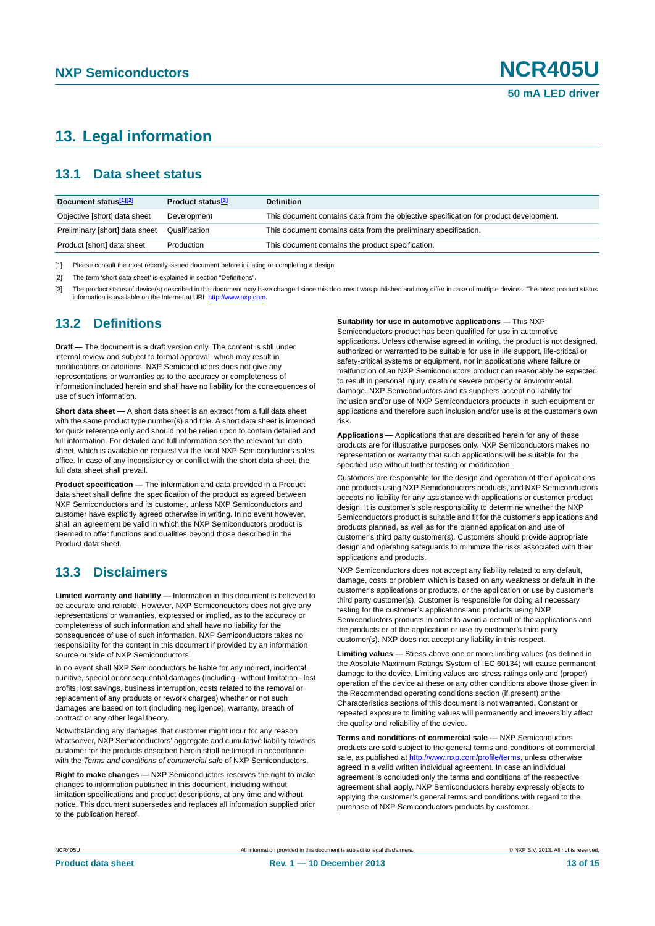## <span id="page-12-3"></span>**13. Legal information**

#### <span id="page-12-4"></span>**13.1 Data sheet status**

| Document status[1][2]          | Product status <sup>[3]</sup> | <b>Definition</b>                                                                     |
|--------------------------------|-------------------------------|---------------------------------------------------------------------------------------|
| Objective [short] data sheet   | Development                   | This document contains data from the objective specification for product development. |
| Preliminary [short] data sheet | Qualification                 | This document contains data from the preliminary specification.                       |
| Product [short] data sheet     | Production                    | This document contains the product specification.                                     |

<span id="page-12-0"></span>[1] Please consult the most recently issued document before initiating or completing a design.

<span id="page-12-1"></span>[2] The term 'short data sheet' is explained in section "Definitions".

<span id="page-12-2"></span>[3] The product status of device(s) described in this document may have changed since this document was published and may differ in case of multiple devices. The latest product status<br>information is available on the Intern

#### <span id="page-12-5"></span>**13.2 Definitions**

**Draft —** The document is a draft version only. The content is still under internal review and subject to formal approval, which may result in modifications or additions. NXP Semiconductors does not give any representations or warranties as to the accuracy or completeness of information included herein and shall have no liability for the consequences of use of such information.

**Short data sheet —** A short data sheet is an extract from a full data sheet with the same product type number(s) and title. A short data sheet is intended for quick reference only and should not be relied upon to contain detailed and full information. For detailed and full information see the relevant full data sheet, which is available on request via the local NXP Semiconductors sales office. In case of any inconsistency or conflict with the short data sheet, the full data sheet shall prevail.

**Product specification —** The information and data provided in a Product data sheet shall define the specification of the product as agreed between NXP Semiconductors and its customer, unless NXP Semiconductors and customer have explicitly agreed otherwise in writing. In no event however, shall an agreement be valid in which the NXP Semiconductors product is deemed to offer functions and qualities beyond those described in the Product data sheet.

#### <span id="page-12-6"></span>**13.3 Disclaimers**

**Limited warranty and liability —** Information in this document is believed to be accurate and reliable. However, NXP Semiconductors does not give any representations or warranties, expressed or implied, as to the accuracy or completeness of such information and shall have no liability for the consequences of use of such information. NXP Semiconductors takes no responsibility for the content in this document if provided by an information source outside of NXP Semiconductors.

In no event shall NXP Semiconductors be liable for any indirect, incidental, punitive, special or consequential damages (including - without limitation - lost profits, lost savings, business interruption, costs related to the removal or replacement of any products or rework charges) whether or not such damages are based on tort (including negligence), warranty, breach of contract or any other legal theory.

Notwithstanding any damages that customer might incur for any reason whatsoever, NXP Semiconductors' aggregate and cumulative liability towards customer for the products described herein shall be limited in accordance with the *Terms and conditions of commercial sale* of NXP Semiconductors.

**Right to make changes —** NXP Semiconductors reserves the right to make changes to information published in this document, including without limitation specifications and product descriptions, at any time and without notice. This document supersedes and replaces all information supplied prior to the publication hereof.

#### **Suitability for use in automotive applications —** This NXP

Semiconductors product has been qualified for use in automotive applications. Unless otherwise agreed in writing, the product is not designed, authorized or warranted to be suitable for use in life support, life-critical or safety-critical systems or equipment, nor in applications where failure or malfunction of an NXP Semiconductors product can reasonably be expected to result in personal injury, death or severe property or environmental damage. NXP Semiconductors and its suppliers accept no liability for inclusion and/or use of NXP Semiconductors products in such equipment or applications and therefore such inclusion and/or use is at the customer's own risk.

**Applications —** Applications that are described herein for any of these products are for illustrative purposes only. NXP Semiconductors makes no representation or warranty that such applications will be suitable for the specified use without further testing or modification.

Customers are responsible for the design and operation of their applications and products using NXP Semiconductors products, and NXP Semiconductors accepts no liability for any assistance with applications or customer product design. It is customer's sole responsibility to determine whether the NXP Semiconductors product is suitable and fit for the customer's applications and products planned, as well as for the planned application and use of customer's third party customer(s). Customers should provide appropriate design and operating safeguards to minimize the risks associated with their applications and products.

NXP Semiconductors does not accept any liability related to any default, damage, costs or problem which is based on any weakness or default in the customer's applications or products, or the application or use by customer's third party customer(s). Customer is responsible for doing all necessary testing for the customer's applications and products using NXP Semiconductors products in order to avoid a default of the applications and the products or of the application or use by customer's third party customer(s). NXP does not accept any liability in this respect.

**Limiting values —** Stress above one or more limiting values (as defined in the Absolute Maximum Ratings System of IEC 60134) will cause permanent damage to the device. Limiting values are stress ratings only and (proper) operation of the device at these or any other conditions above those given in the Recommended operating conditions section (if present) or the Characteristics sections of this document is not warranted. Constant or repeated exposure to limiting values will permanently and irreversibly affect the quality and reliability of the device.

**Terms and conditions of commercial sale —** NXP Semiconductors products are sold subject to the general terms and conditions of commercial sale, as published at<http://www.nxp.com/profile/terms>, unless otherwise agreed in a valid written individual agreement. In case an individual agreement is concluded only the terms and conditions of the respective agreement shall apply. NXP Semiconductors hereby expressly objects to applying the customer's general terms and conditions with regard to the purchase of NXP Semiconductors products by customer.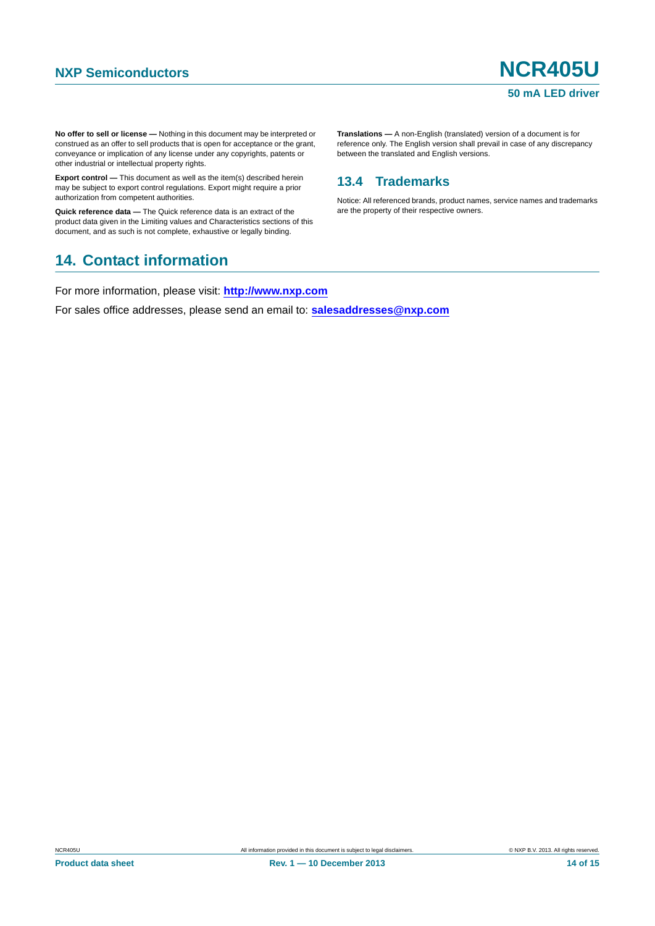**No offer to sell or license —** Nothing in this document may be interpreted or construed as an offer to sell products that is open for acceptance or the grant, conveyance or implication of any license under any copyrights, patents or other industrial or intellectual property rights.

**Export control —** This document as well as the item(s) described herein may be subject to export control regulations. Export might require a prior authorization from competent authorities.

**Quick reference data —** The Quick reference data is an extract of the product data given in the Limiting values and Characteristics sections of this document, and as such is not complete, exhaustive or legally binding.

#### <span id="page-13-1"></span>**14. Contact information**

For more information, please visit: **http://www.nxp.com**

For sales office addresses, please send an email to: **salesaddresses@nxp.com**

**Translations —** A non-English (translated) version of a document is for reference only. The English version shall prevail in case of any discrepancy between the translated and English versions.

#### <span id="page-13-0"></span>**13.4 Trademarks**

Notice: All referenced brands, product names, service names and trademarks are the property of their respective owners.